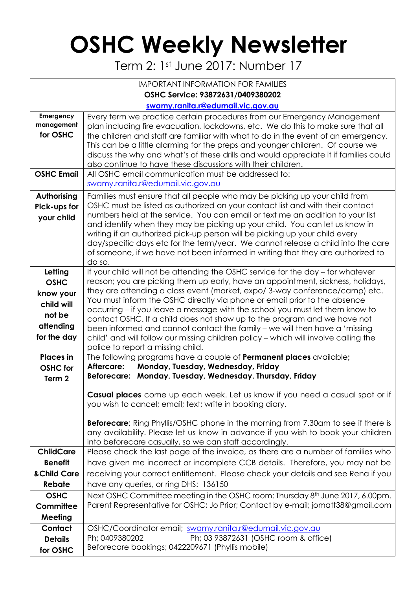## **OSHC Weekly Newsletter**

Term 2: 1st June 2017: Number 17

| <b>IMPORTANT INFORMATION FOR FAMILIES</b>                                               |                                                                                                                                                                                                                                                                                                                                                                                                                                                                                                                                                                                                                                                                                                     |  |  |  |  |  |  |  |
|-----------------------------------------------------------------------------------------|-----------------------------------------------------------------------------------------------------------------------------------------------------------------------------------------------------------------------------------------------------------------------------------------------------------------------------------------------------------------------------------------------------------------------------------------------------------------------------------------------------------------------------------------------------------------------------------------------------------------------------------------------------------------------------------------------------|--|--|--|--|--|--|--|
| OSHC Service: 93872631/0409380202                                                       |                                                                                                                                                                                                                                                                                                                                                                                                                                                                                                                                                                                                                                                                                                     |  |  |  |  |  |  |  |
|                                                                                         | swamy.ranita.r@edumail.vic.gov.au                                                                                                                                                                                                                                                                                                                                                                                                                                                                                                                                                                                                                                                                   |  |  |  |  |  |  |  |
| Emergency<br>management<br>for OSHC                                                     | Every term we practice certain procedures from our Emergency Management<br>plan including fire evacuation, lockdowns, etc. We do this to make sure that all<br>the children and staff are familiar with what to do in the event of an emergency.<br>This can be a little alarming for the preps and younger children. Of course we<br>discuss the why and what's of these drills and would appreciate it if families could<br>also continue to have these discussions with their children.                                                                                                                                                                                                          |  |  |  |  |  |  |  |
| <b>OSHC Email</b>                                                                       | All OSHC email communication must be addressed to:<br>swamy.ranita.r@edumail.vic.gov.au                                                                                                                                                                                                                                                                                                                                                                                                                                                                                                                                                                                                             |  |  |  |  |  |  |  |
| Authorising<br>Pick-ups for<br>your child                                               | Families must ensure that all people who may be picking up your child from<br>OSHC must be listed as authorized on your contact list and with their contact<br>numbers held at the service. You can email or text me an addition to your list<br>and identify when they may be picking up your child. You can let us know in<br>writing if an authorized pick-up person will be picking up your child every<br>day/specific days etc for the term/year. We cannot release a child into the care<br>of someone, if we have not been informed in writing that they are authorized to<br>do so.                                                                                                        |  |  |  |  |  |  |  |
| Letting<br><b>OSHC</b><br>know your<br>child will<br>not be<br>attending<br>for the day | If your child will not be attending the OSHC service for the day - for whatever<br>reason; you are picking them up early, have an appointment, sickness, holidays,<br>they are attending a class event (market, expo/3-way conference/camp) etc.<br>You must inform the OSHC directly via phone or email prior to the absence<br>occurring – if you leave a message with the school you must let them know to<br>contact OSHC. If a child does not show up to the program and we have not<br>been informed and cannot contact the family - we will then have a 'missing<br>child' and will follow our missing children policy - which will involve calling the<br>police to report a missing child. |  |  |  |  |  |  |  |
| <b>Places</b> in<br><b>OSHC</b> for<br>Term <sub>2</sub>                                | The following programs have a couple of <b>Permanent places</b> available;<br>Monday, Tuesday, Wednesday, Friday<br>Aftercare:<br>Beforecare: Monday, Tuesday, Wednesday, Thursday, Friday                                                                                                                                                                                                                                                                                                                                                                                                                                                                                                          |  |  |  |  |  |  |  |
|                                                                                         | Casual places come up each week. Let us know if you need a casual spot or if<br>you wish to cancel; email; text; write in booking diary.<br><b>Beforecare</b> ; Ring Phyllis/OSHC phone in the morning from 7.30am to see if there is<br>any availability. Please let us know in advance if you wish to book your children<br>into beforecare casually, so we can staff accordingly.                                                                                                                                                                                                                                                                                                                |  |  |  |  |  |  |  |
| <b>ChildCare</b><br><b>Benefit</b><br>& Child Care                                      | Please check the last page of the invoice, as there are a number of families who<br>have given me incorrect or incomplete CCB details. Therefore, you may not be<br>receiving your correct entitlement. Please check your details and see Rena if you                                                                                                                                                                                                                                                                                                                                                                                                                                               |  |  |  |  |  |  |  |
| <b>Rebate</b>                                                                           | have any queries, or ring DHS: 136150                                                                                                                                                                                                                                                                                                                                                                                                                                                                                                                                                                                                                                                               |  |  |  |  |  |  |  |
| <b>OSHC</b><br>Committee<br>Meeting                                                     | Next OSHC Committee meeting in the OSHC room: Thursday 8 <sup>th</sup> June 2017, 6.00pm.<br>Parent Representative for OSHC; Jo Prior; Contact by e-mail; jomatt38@gmail.com                                                                                                                                                                                                                                                                                                                                                                                                                                                                                                                        |  |  |  |  |  |  |  |
| Contact<br><b>Details</b><br>for OSHC                                                   | OSHC/Coordinator email; swamy.ranita.r@edumail.vic.gov.au<br>Ph; 0409380202<br>Ph; 03 93872631 (OSHC room & office)<br>Beforecare bookings; 0422209671 (Phyllis mobile)                                                                                                                                                                                                                                                                                                                                                                                                                                                                                                                             |  |  |  |  |  |  |  |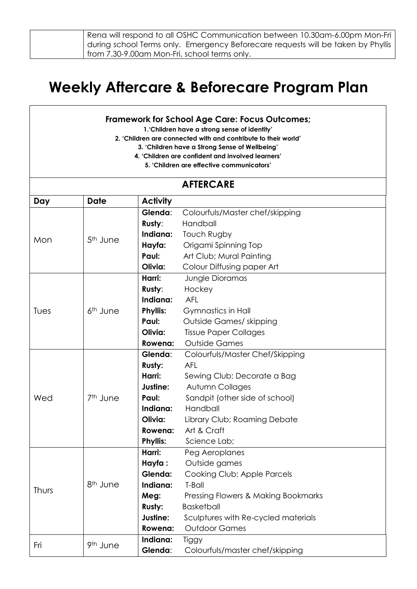| Rena will respond to all OSHC Communication between 10.30am-6.00pm Mon-Fri        |
|-----------------------------------------------------------------------------------|
| during school Terms only.  Emergency Beforecare requests will be taken by Phyllis |
| from 7.30-9.00am Mon-Fri, school terms only.                                      |

## **Weekly Aftercare & Beforecare Program Plan**

## **Framework for School Age Care: Focus Outcomes;**

**1.'Children have a strong sense of identity'**

**2. 'Children are connected with and contribute to their world'**

**3. 'Children have a Strong Sense of Wellbeing'**

- **4. 'Children are confident and involved learners'**
	- **5. 'Children are effective communicators'**

| <b>AFTERCARE</b> |                      |                 |                                     |  |  |
|------------------|----------------------|-----------------|-------------------------------------|--|--|
| Day              | <b>Date</b>          | <b>Activity</b> |                                     |  |  |
|                  | 5 <sup>th</sup> June | Glenda:         | Colourfuls/Master chef/skipping     |  |  |
|                  |                      | Rusty:          | Handball                            |  |  |
| Mon              |                      | Indiana:        | Touch Rugby                         |  |  |
|                  |                      | Hayfa:          | Origami Spinning Top                |  |  |
|                  |                      | Paul:           | Art Club; Mural Painting            |  |  |
|                  |                      | Olivia:         | Colour Diffusing paper Art          |  |  |
|                  |                      | Harri:          | Jungle Dioramas                     |  |  |
|                  |                      | Rusty:          | Hockey                              |  |  |
|                  |                      | Indiana:        | <b>AFL</b>                          |  |  |
| Tues             | 6 <sup>th</sup> June | <b>Phyllis:</b> | Gymnastics in Hall                  |  |  |
|                  |                      | Paul:           | Outside Games/ skipping             |  |  |
|                  |                      | Olivia:         | <b>Tissue Paper Collages</b>        |  |  |
|                  |                      | Rowena:         | <b>Outside Games</b>                |  |  |
|                  | 7 <sup>th</sup> June | Glenda:         | Colourfuls/Master Chef/Skipping     |  |  |
|                  |                      | Rusty:          | <b>AFL</b>                          |  |  |
|                  |                      | Harri:          | Sewing Club; Decorate a Bag         |  |  |
|                  |                      | Justine:        | Autumn Collages                     |  |  |
| Wed              |                      | Paul:           | Sandpit (other side of school)      |  |  |
|                  |                      | Indiana:        | Handball                            |  |  |
|                  |                      | Olivia:         | Library Club; Roaming Debate        |  |  |
|                  |                      | Rowena:         | Art & Craft                         |  |  |
|                  |                      | <b>Phyllis:</b> | Science Lab;                        |  |  |
|                  | 8 <sup>th</sup> June | Harri:          | Peg Aeroplanes                      |  |  |
|                  |                      | Hayfa:          | Outside games                       |  |  |
|                  |                      | Glenda:         | Cooking Club; Apple Parcels         |  |  |
| Thurs            |                      | Indiana:        | T-Ball                              |  |  |
|                  |                      | Meg:            | Pressing Flowers & Making Bookmarks |  |  |
|                  |                      | Rusty:          | <b>Basketball</b>                   |  |  |
|                  |                      | Justine:        | Sculptures with Re-cycled materials |  |  |
|                  |                      | Rowena:         | <b>Outdoor Games</b>                |  |  |
| Fri              | 9th June             | Indiana:        | Tiggy                               |  |  |
|                  |                      | Glenda:         | Colourfuls/master chef/skipping     |  |  |